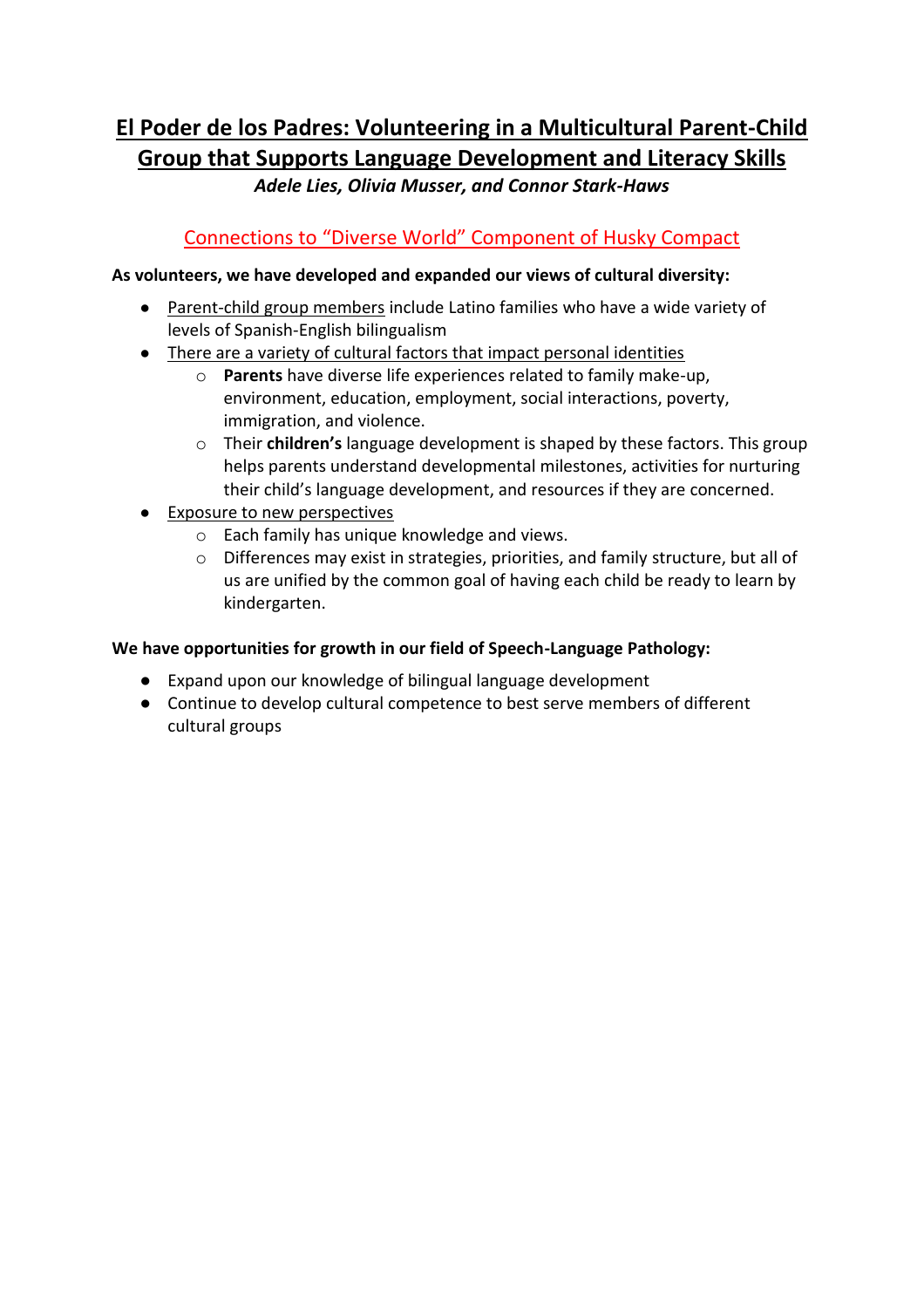# **El Poder de los Padres: Volunteering in a Multicultural Parent-Child Group that Supports Language Development and Literacy Skills**

*Adele Lies, Olivia Musser, and Connor Stark-Haws*

## Connections to "Diverse World" Component of Husky Compact

### **As volunteers, we have developed and expanded our views of cultural diversity:**

- Parent-child group members include Latino families who have a wide variety of levels of Spanish-English bilingualism
- There are a variety of cultural factors that impact personal identities
	- o **Parents** have diverse life experiences related to family make-up, environment, education, employment, social interactions, poverty, immigration, and violence.
	- o Their **children's** language development is shaped by these factors. This group helps parents understand developmental milestones, activities for nurturing their child's language development, and resources if they are concerned.
- Exposure to new perspectives
	- o Each family has unique knowledge and views.
	- o Differences may exist in strategies, priorities, and family structure, but all of us are unified by the common goal of having each child be ready to learn by kindergarten.

#### **We have opportunities for growth in our field of Speech-Language Pathology:**

- Expand upon our knowledge of bilingual language development
- Continue to develop cultural competence to best serve members of different cultural groups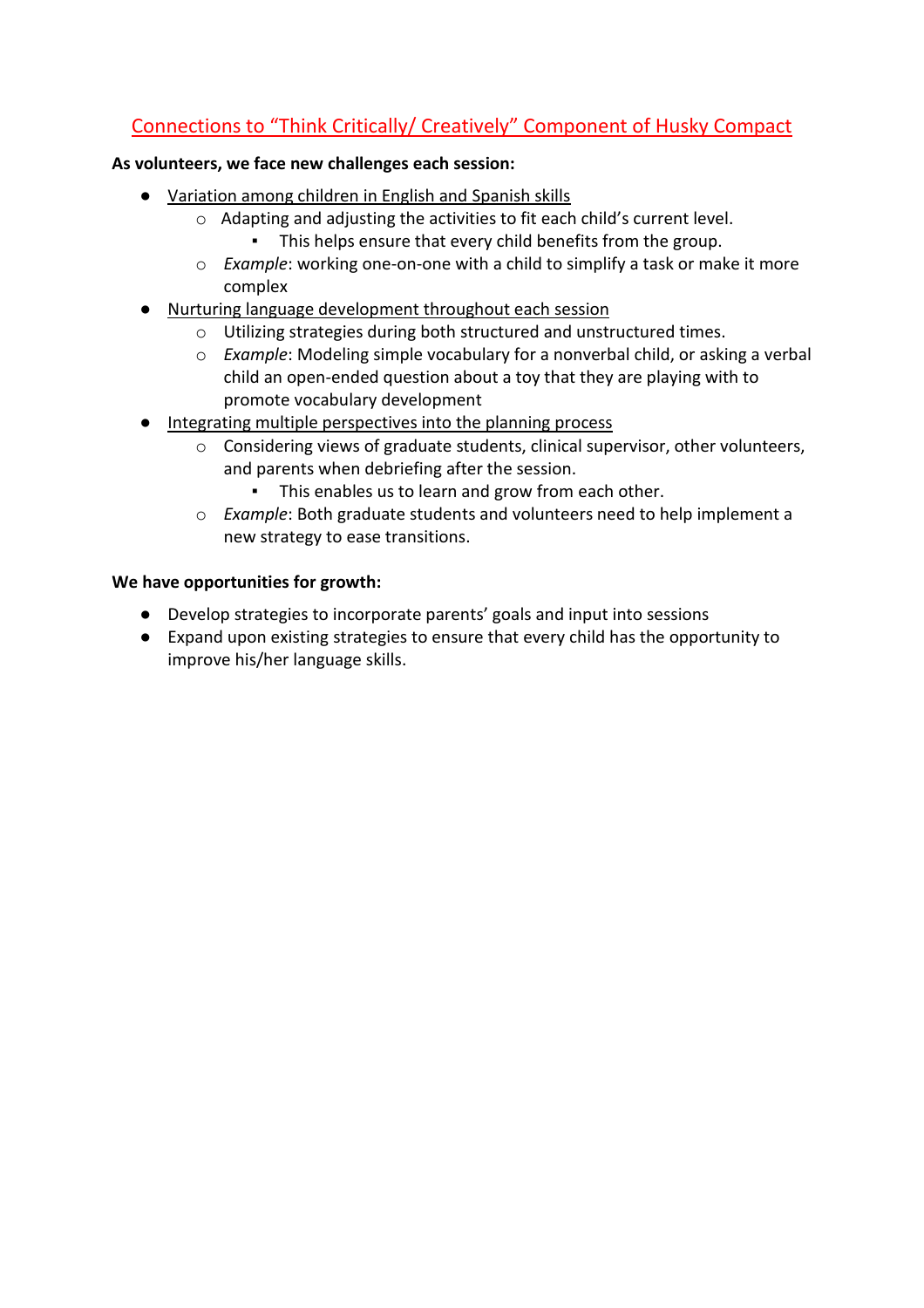# Connections to "Think Critically/ Creatively" Component of Husky Compact

#### **As volunteers, we face new challenges each session:**

- Variation among children in English and Spanish skills
	- o Adapting and adjusting the activities to fit each child's current level. ▪ This helps ensure that every child benefits from the group.
	- o *Example*: working one-on-one with a child to simplify a task or make it more complex
- Nurturing language development throughout each session
	- o Utilizing strategies during both structured and unstructured times.
	- o *Example*: Modeling simple vocabulary for a nonverbal child, or asking a verbal child an open-ended question about a toy that they are playing with to promote vocabulary development
- Integrating multiple perspectives into the planning process
	- o Considering views of graduate students, clinical supervisor, other volunteers, and parents when debriefing after the session.
		- This enables us to learn and grow from each other.
	- o *Example*: Both graduate students and volunteers need to help implement a new strategy to ease transitions.

#### **We have opportunities for growth:**

- Develop strategies to incorporate parents' goals and input into sessions
- Expand upon existing strategies to ensure that every child has the opportunity to improve his/her language skills.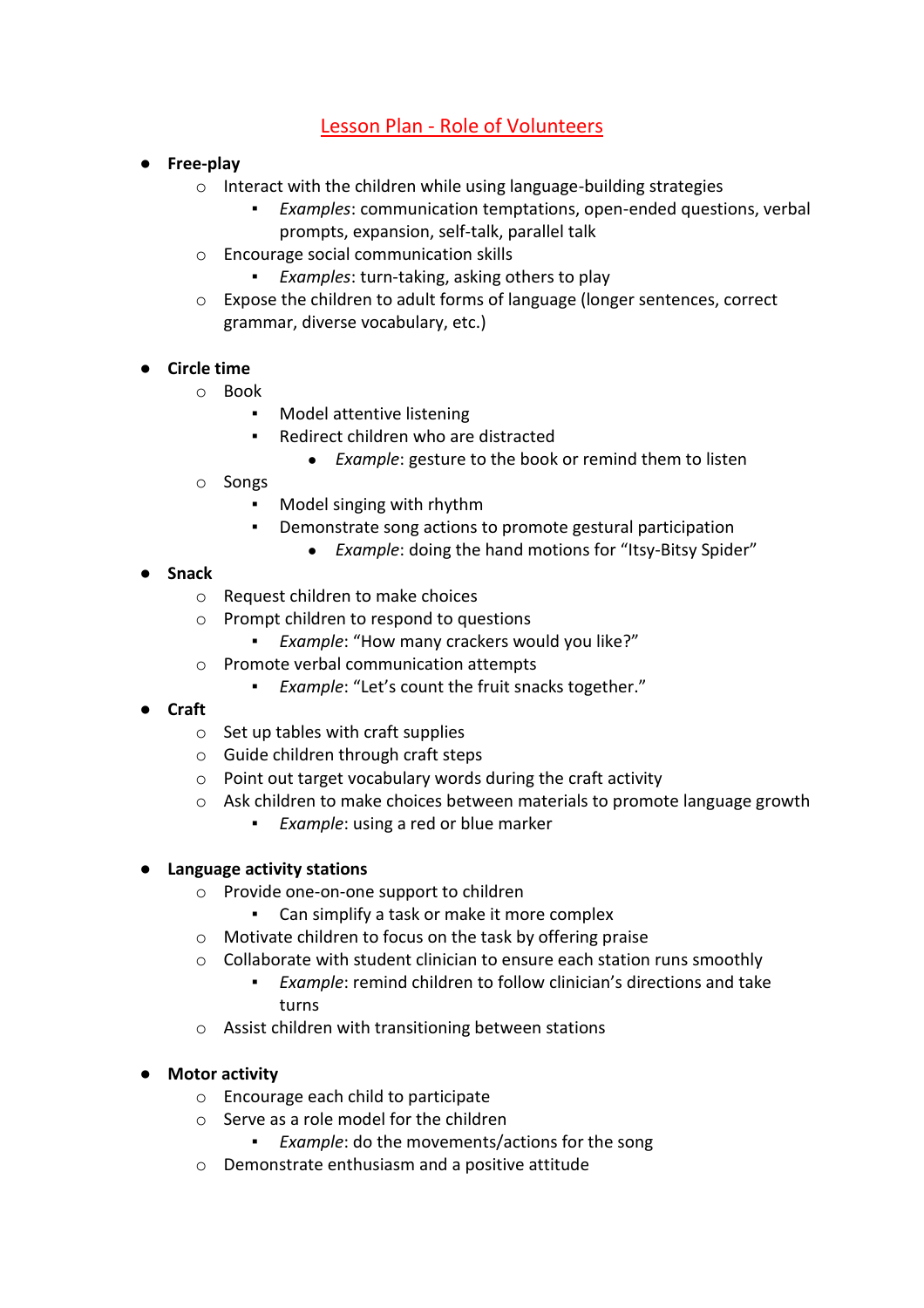## Lesson Plan - Role of Volunteers

- **Free-play**
	- o Interact with the children while using language-building strategies
		- *Examples:* communication temptations, open-ended questions, verbal prompts, expansion, self-talk, parallel talk
	- o Encourage social communication skills
		- *Examples:* turn-taking, asking others to play
	- $\circ$  Expose the children to adult forms of language (longer sentences, correct grammar, diverse vocabulary, etc.)
- **Circle time**
	- o Book
		- Model attentive listening
		- Redirect children who are distracted
			- *Example*: gesture to the book or remind them to listen
	- o Songs
		- Model singing with rhythm
		- Demonstrate song actions to promote gestural participation
			- *Example*: doing the hand motions for "Itsy-Bitsy Spider"

#### ● **Snack**

- o Request children to make choices
- o Prompt children to respond to questions
	- *Example*: "How many crackers would you like?"
- o Promote verbal communication attempts
	- *Example*: "Let's count the fruit snacks together."
- **Craft**
	- $\circ$  Set up tables with craft supplies
	- o Guide children through craft steps
	- o Point out target vocabulary words during the craft activity
	- o Ask children to make choices between materials to promote language growth
		- *Example*: using a red or blue marker

#### ● **Language activity stations**

- o Provide one-on-one support to children
	- Can simplify a task or make it more complex
- o Motivate children to focus on the task by offering praise
- o Collaborate with student clinician to ensure each station runs smoothly
	- *Example*: remind children to follow clinician's directions and take turns
- o Assist children with transitioning between stations

#### ● **Motor activity**

- o Encourage each child to participate
- o Serve as a role model for the children
	- *Example:* do the movements/actions for the song
- o Demonstrate enthusiasm and a positive attitude